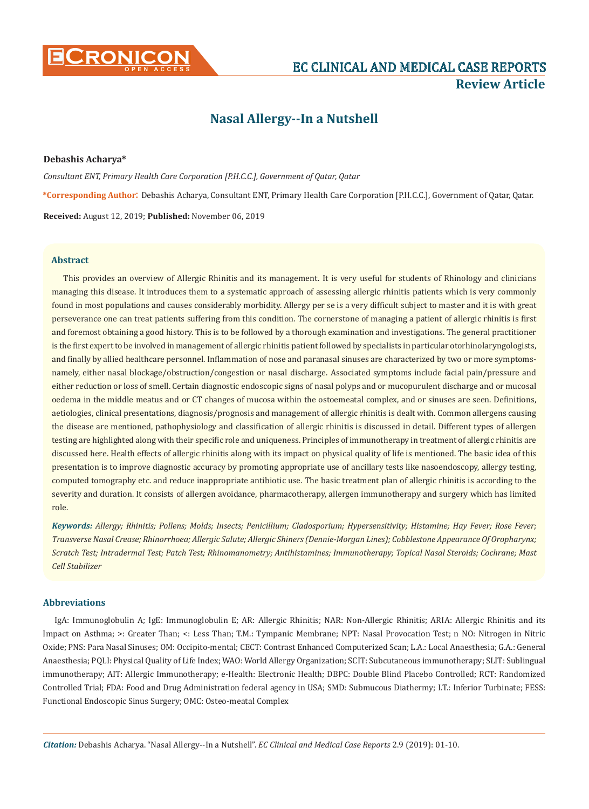

# **Review Article**

# **Nasal Allergy--In a Nutshell**

#### **Debashis Acharya\***

*Consultant ENT, Primary Health Care Corporation [P.H.C.C.], Government of Qatar, Qatar* **\*Corresponding Author**: Debashis Acharya, Consultant ENT, Primary Health Care Corporation [P.H.C.C.], Government of Qatar, Qatar. **Received:** August 12, 2019; **Published:** November 06, 2019

#### **Abstract**

This provides an overview of Allergic Rhinitis and its management. It is very useful for students of Rhinology and clinicians managing this disease. It introduces them to a systematic approach of assessing allergic rhinitis patients which is very commonly found in most populations and causes considerably morbidity. Allergy per se is a very difficult subject to master and it is with great perseverance one can treat patients suffering from this condition. The cornerstone of managing a patient of allergic rhinitis is first and foremost obtaining a good history. This is to be followed by a thorough examination and investigations. The general practitioner is the first expert to be involved in management of allergic rhinitis patient followed by specialists in particular otorhinolaryngologists, and finally by allied healthcare personnel. Inflammation of nose and paranasal sinuses are characterized by two or more symptomsnamely, either nasal blockage/obstruction/congestion or nasal discharge. Associated symptoms include facial pain/pressure and either reduction or loss of smell. Certain diagnostic endoscopic signs of nasal polyps and or mucopurulent discharge and or mucosal oedema in the middle meatus and or CT changes of mucosa within the ostoemeatal complex, and or sinuses are seen. Definitions, aetiologies, clinical presentations, diagnosis/prognosis and management of allergic rhinitis is dealt with. Common allergens causing the disease are mentioned, pathophysiology and classification of allergic rhinitis is discussed in detail. Different types of allergen testing are highlighted along with their specific role and uniqueness. Principles of immunotherapy in treatment of allergic rhinitis are discussed here. Health effects of allergic rhinitis along with its impact on physical quality of life is mentioned. The basic idea of this presentation is to improve diagnostic accuracy by promoting appropriate use of ancillary tests like nasoendoscopy, allergy testing, computed tomography etc. and reduce inappropriate antibiotic use. The basic treatment plan of allergic rhinitis is according to the severity and duration. It consists of allergen avoidance, pharmacotherapy, allergen immunotherapy and surgery which has limited role.

*Keywords: Allergy; Rhinitis; Pollens; Molds; Insects; Penicillium; Cladosporium; Hypersensitivity; Histamine; Hay Fever; Rose Fever; Transverse Nasal Crease; Rhinorrhoea; Allergic Salute; Allergic Shiners (Dennie-Morgan Lines); Cobblestone Appearance Of Oropharynx; Scratch Test; Intradermal Test; Patch Test; Rhinomanometry; Antihistamines; Immunotherapy; Topical Nasal Steroids; Cochrane; Mast Cell Stabilizer*

# **Abbreviations**

IgA: Immunoglobulin A; IgE: Immunoglobulin E; AR: Allergic Rhinitis; NAR: Non-Allergic Rhinitis; ARIA: Allergic Rhinitis and its Impact on Asthma; >: Greater Than; <: Less Than; T.M.: Tympanic Membrane; NPT: Nasal Provocation Test; n NO: Nitrogen in Nitric Oxide; PNS: Para Nasal Sinuses; OM: Occipito-mental; CECT: Contrast Enhanced Computerized Scan; L.A.: Local Anaesthesia; G.A.: General Anaesthesia; PQLI: Physical Quality of Life Index; WAO: World Allergy Organization; SCIT: Subcutaneous immunotherapy; SLIT: Sublingual immunotherapy; AIT: Allergic Immunotherapy; e-Health: Electronic Health; DBPC: Double Blind Placebo Controlled; RCT: Randomized Controlled Trial; FDA: Food and Drug Administration federal agency in USA; SMD: Submucous Diathermy; I.T.: Inferior Turbinate; FESS: Functional Endoscopic Sinus Surgery; OMC: Osteo-meatal Complex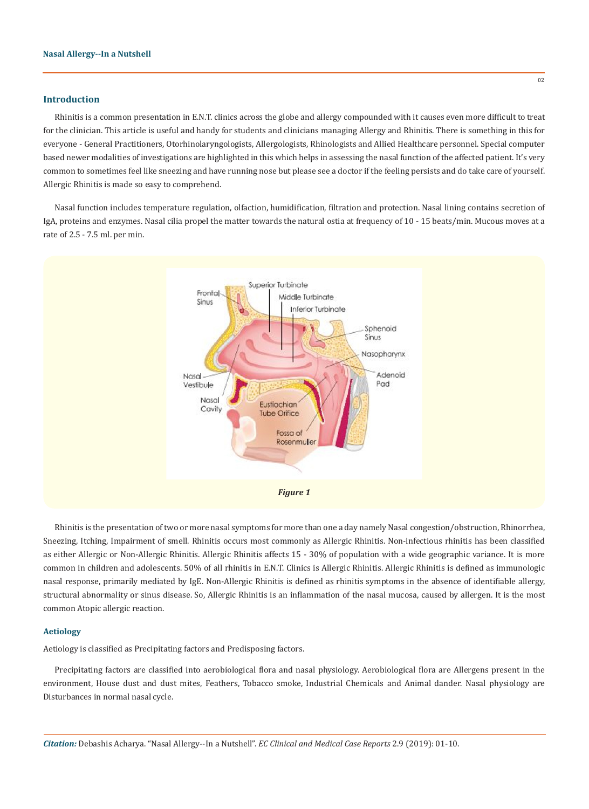#### **Introduction**

Rhinitis is a common presentation in E.N.T. clinics across the globe and allergy compounded with it causes even more difficult to treat for the clinician. This article is useful and handy for students and clinicians managing Allergy and Rhinitis. There is something in this for everyone - General Practitioners, Otorhinolaryngologists, Allergologists, Rhinologists and Allied Healthcare personnel. Special computer based newer modalities of investigations are highlighted in this which helps in assessing the nasal function of the affected patient. It's very common to sometimes feel like sneezing and have running nose but please see a doctor if the feeling persists and do take care of yourself. Allergic Rhinitis is made so easy to comprehend.

Nasal function includes temperature regulation, olfaction, humidification, filtration and protection. Nasal lining contains secretion of IgA, proteins and enzymes. Nasal cilia propel the matter towards the natural ostia at frequency of 10 - 15 beats/min. Mucous moves at a rate of 2.5 - 7.5 ml. per min.



Rhinitis is the presentation of two or more nasal symptoms for more than one a day namely Nasal congestion/obstruction, Rhinorrhea, Sneezing, Itching, Impairment of smell. Rhinitis occurs most commonly as Allergic Rhinitis. Non-infectious rhinitis has been classified as either Allergic or Non-Allergic Rhinitis. Allergic Rhinitis affects 15 - 30% of population with a wide geographic variance. It is more common in children and adolescents. 50% of all rhinitis in E.N.T. Clinics is Allergic Rhinitis. Allergic Rhinitis is defined as immunologic nasal response, primarily mediated by IgE. Non-Allergic Rhinitis is defined as rhinitis symptoms in the absence of identifiable allergy, structural abnormality or sinus disease. So, Allergic Rhinitis is an inflammation of the nasal mucosa, caused by allergen. It is the most common Atopic allergic reaction.

# **Aetiology**

Aetiology is classified as Precipitating factors and Predisposing factors.

Precipitating factors are classified into aerobiological flora and nasal physiology. Aerobiological flora are Allergens present in the environment, House dust and dust mites, Feathers, Tobacco smoke, Industrial Chemicals and Animal dander. Nasal physiology are Disturbances in normal nasal cycle.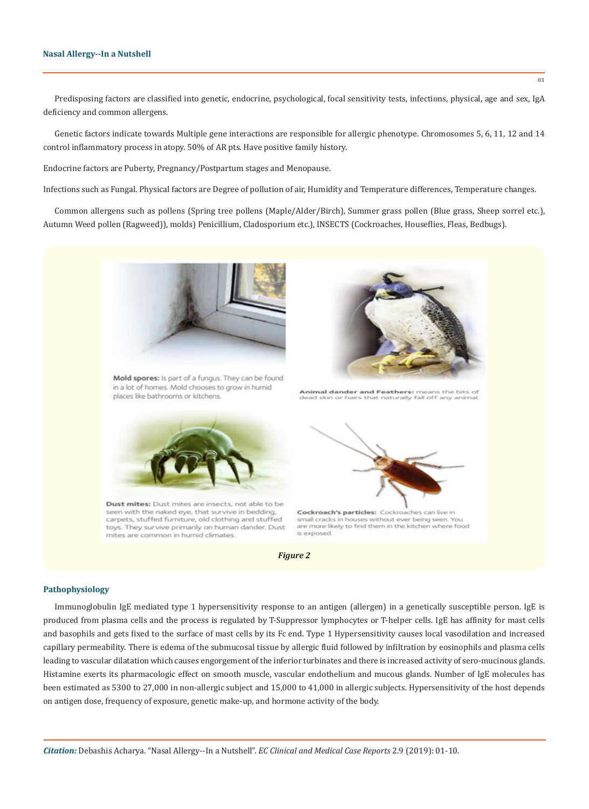Predisposing factors are classified into genetic, endocrine, psychological, focal sensitivity tests, infections, physical, age and sex, IgA deficiency and common allergens.

Genetic factors indicate towards Multiple gene interactions are responsible for allergic phenotype. Chromosomes 5, 6, 11, 12 and 14 control inflammatory process in atopy. 50% of AR pts. Have positive family history.

Endocrine factors are Puberty, Pregnancy/Postpartum stages and Menopause.

Infections such as Fungal. Physical factors are Degree of pollution of air, Humidity and Temperature differences, Temperature changes.

Common allergens such as pollens (Spring tree pollens (Maple/Alder/Birch), Summer grass pollen (Blue grass, Sheep sorrel etc.), Autumn Weed pollen (Ragweed)), molds) Penicillium, Cladosporium etc.), INSECTS (Cockroaches, Houseflies, Fleas, Bedbugs).



Mold spores: Is part of a fungus. They can be found in a lot of homes. Mold chooses to grow in humid places like bathrooms or kitchens.



Dust mites: Dust mites are insects, not able to be seen with the naked eye, that survive in bedding carpets, stuffed furniture, old clothing and stuffed toys. They survive primarily on human dander. Dust mites are common in humid climates.



*Figure 2*

#### **Pathophysiology**

Immunoglobulin IgE mediated type 1 hypersensitivity response to an antigen (allergen) in a genetically susceptible person. IgE is produced from plasma cells and the process is regulated by T-Suppressor lymphocytes or T-helper cells. IgE has affinity for mast cells and basophils and gets fixed to the surface of mast cells by its Fc end. Type 1 Hypersensitivity causes local vasodilation and increased capillary permeability. There is edema of the submucosal tissue by allergic fluid followed by infiltration by eosinophils and plasma cells leading to vascular dilatation which causes engorgement of the inferior turbinates and there is increased activity of sero-mucinous glands. Histamine exerts its pharmacologic effect on smooth muscle, vascular endothelium and mucous glands. Number of IgE molecules has been estimated as 5300 to 27,000 in non-allergic subject and 15,000 to 41,000 in allergic subjects. Hypersensitivity of the host depends on antigen dose, frequency of exposure, genetic make-up, and hormone activity of the body.



Animal dander and Feathers: means the bits of that naturally fall off any ani-



Cockroach's particles: Cockroaches can live in small cracks in houses without ever being seen. You<br>are more likely to find them in the kitchen where food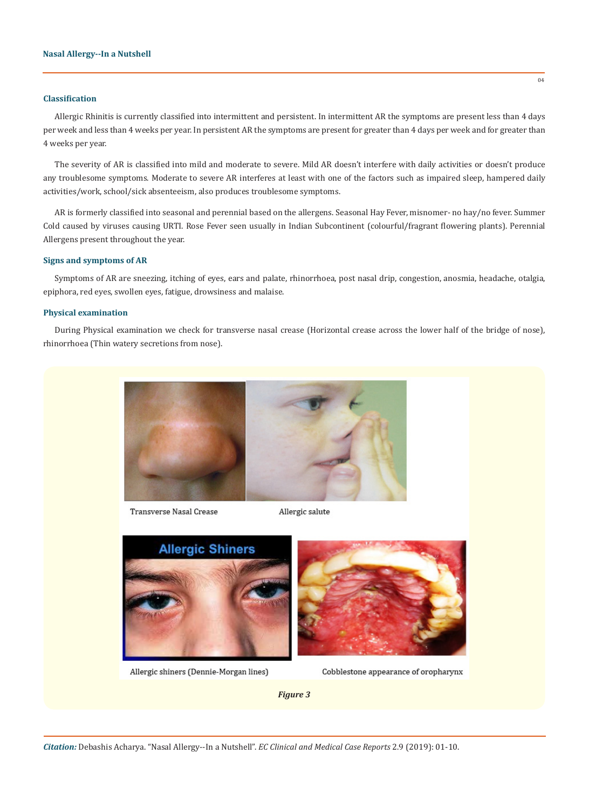# **Classification**

Allergic Rhinitis is currently classified into intermittent and persistent. In intermittent AR the symptoms are present less than 4 days per week and less than 4 weeks per year. In persistent AR the symptoms are present for greater than 4 days per week and for greater than 4 weeks per year.

The severity of AR is classified into mild and moderate to severe. Mild AR doesn't interfere with daily activities or doesn't produce any troublesome symptoms. Moderate to severe AR interferes at least with one of the factors such as impaired sleep, hampered daily activities/work, school/sick absenteeism, also produces troublesome symptoms.

AR is formerly classified into seasonal and perennial based on the allergens. Seasonal Hay Fever, misnomer- no hay/no fever. Summer Cold caused by viruses causing URTI. Rose Fever seen usually in Indian Subcontinent (colourful/fragrant flowering plants). Perennial Allergens present throughout the year.

#### **Signs and symptoms of AR**

Symptoms of AR are sneezing, itching of eyes, ears and palate, rhinorrhoea, post nasal drip, congestion, anosmia, headache, otalgia, epiphora, red eyes, swollen eyes, fatigue, drowsiness and malaise.

# **Physical examination**

During Physical examination we check for transverse nasal crease (Horizontal crease across the lower half of the bridge of nose), rhinorrhoea (Thin watery secretions from nose).



Transverse Nasal Crease

Allergic salute



Allergic shiners (Dennie-Morgan lines)



Cobblestone appearance of oropharynx

*Figure 3*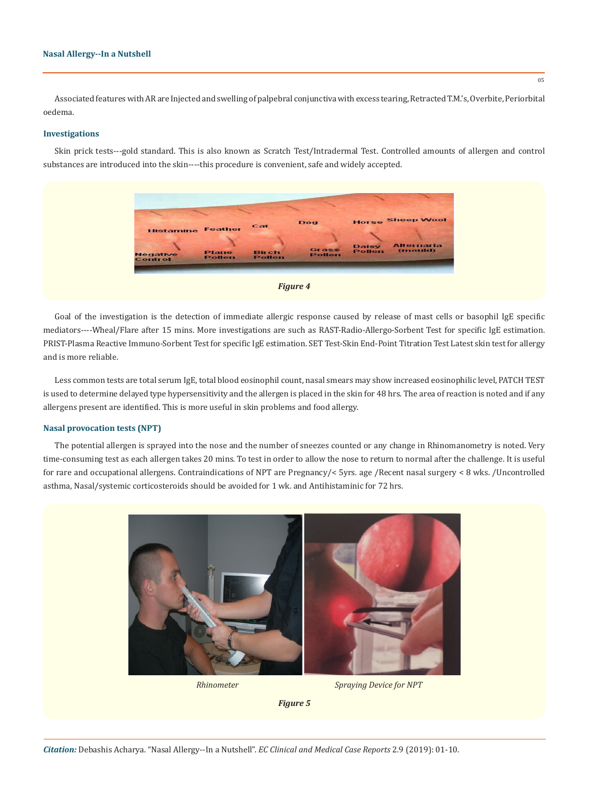#### **Nasal Allergy--In a Nutshell**

Associated features with AR are Injected and swelling of palpebral conjunctiva with excess tearing, Retracted T.M.'s, Overbite, Periorbital oedema.

#### **Investigations**

Skin prick tests---gold standard. This is also known as Scratch Test/Intradermal Test. Controlled amounts of allergen and control substances are introduced into the skin----this procedure is convenient, safe and widely accepted.





Less common tests are total serum IgE, total blood eosinophil count, nasal smears may show increased eosinophilic level, PATCH TEST is used to determine delayed type hypersensitivity and the allergen is placed in the skin for 48 hrs. The area of reaction is noted and if any allergens present are identified. This is more useful in skin problems and food allergy.

## **Nasal provocation tests (NPT)**

The potential allergen is sprayed into the nose and the number of sneezes counted or any change in Rhinomanometry is noted. Very time-consuming test as each allergen takes 20 mins. To test in order to allow the nose to return to normal after the challenge. It is useful for rare and occupational allergens. Contraindications of NPT are Pregnancy/< 5yrs. age /Recent nasal surgery < 8 wks. /Uncontrolled asthma, Nasal/systemic corticosteroids should be avoided for 1 wk. and Antihistaminic for 72 hrs.



*Rhinometer Spraying Device for NPT*

*Figure 5*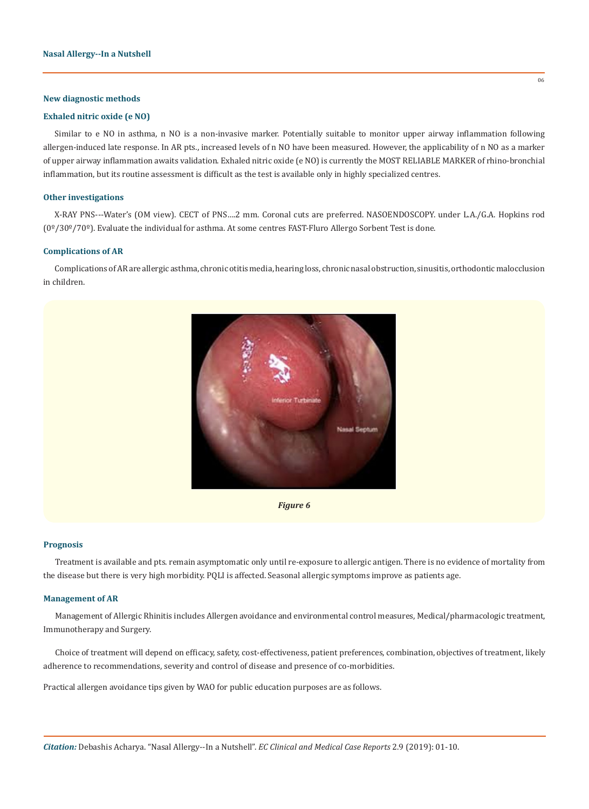# **New diagnostic methods**

# **Exhaled nitric oxide (e NO)**

Similar to e NO in asthma, n NO is a non-invasive marker. Potentially suitable to monitor upper airway inflammation following allergen-induced late response. In AR pts., increased levels of n NO have been measured. However, the applicability of n NO as a marker of upper airway inflammation awaits validation. Exhaled nitric oxide (e NO) is currently the MOST RELIABLE MARKER of rhino-bronchial inflammation, but its routine assessment is difficult as the test is available only in highly specialized centres.

#### **Other investigations**

X-RAY PNS---Water's (OM view). CECT of PNS….2 mm. Coronal cuts are preferred. NASOENDOSCOPY. under L.A./G.A. Hopkins rod (0º/30º/70º). Evaluate the individual for asthma. At some centres FAST-Fluro Allergo Sorbent Test is done.

#### **Complications of AR**

Complications of AR are allergic asthma, chronic otitis media, hearing loss, chronic nasal obstruction, sinusitis, orthodontic malocclusion in children.



*Figure 6*

#### **Prognosis**

Treatment is available and pts. remain asymptomatic only until re-exposure to allergic antigen. There is no evidence of mortality from the disease but there is very high morbidity. PQLI is affected. Seasonal allergic symptoms improve as patients age.

#### **Management of AR**

Management of Allergic Rhinitis includes Allergen avoidance and environmental control measures, Medical/pharmacologic treatment, Immunotherapy and Surgery.

Choice of treatment will depend on efficacy, safety, cost-effectiveness, patient preferences, combination, objectives of treatment, likely adherence to recommendations, severity and control of disease and presence of co-morbidities.

Practical allergen avoidance tips given by WAO for public education purposes are as follows.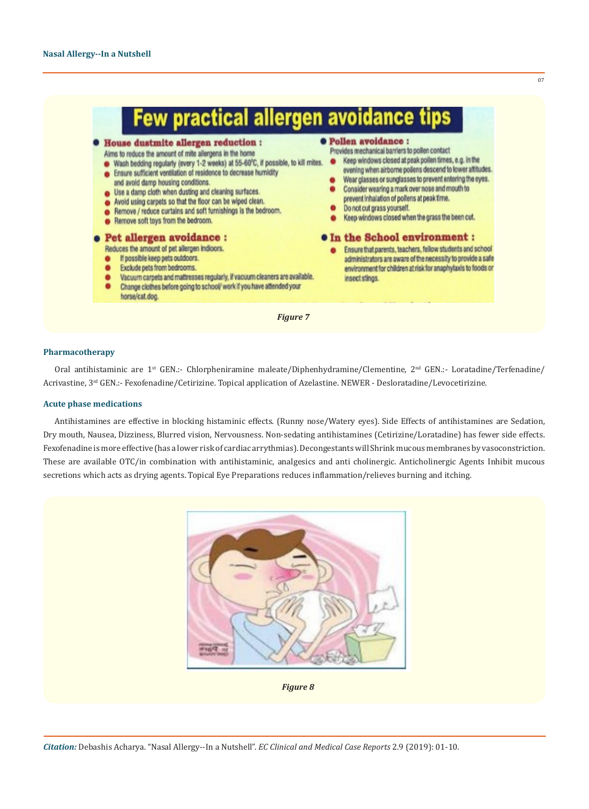| <b>.</b> House dustmite allergen reduction :<br>Airns to reduce the amount of mite allergens in the home<br>Wash bedding regularly (every 1-2 weeks) at 55-60°C, if possible, to kill mites.<br>Ensure sufficient ventilation of residence to decrease humidity<br>and avoid damp housing conditions.<br>Use a damp cloth when dusting and cleaning surfaces.<br>Avoid using carpets so that the floor can be wiped clean.<br>Remove / reduce curtains and soft furnishings is the bedroom.<br>Remove soft toys from the bedroom. | <b>.</b> Pollen avoidance :<br>Provides mechanical barriers to pollen contact<br>Keep windows closed at peak pollen times, e.g. in the<br>evening when airborne poilens descend to lower altitudes.<br>Wear glasses or sunglasses to prevent entering the eyes.<br>Consider wearing a mark over nose and mouth to<br>prevent inhalation of pollens at peak time.<br>Do not cut grass yourself.<br>Keep windows closed when the grass the been cut. |
|-----------------------------------------------------------------------------------------------------------------------------------------------------------------------------------------------------------------------------------------------------------------------------------------------------------------------------------------------------------------------------------------------------------------------------------------------------------------------------------------------------------------------------------|----------------------------------------------------------------------------------------------------------------------------------------------------------------------------------------------------------------------------------------------------------------------------------------------------------------------------------------------------------------------------------------------------------------------------------------------------|
| <b>.</b> Pet allergen avoidance :<br>Reduces the amount of pet allergen indioors.<br>If possible keep pets outdoors.<br>Exclude pets from bedrooms.<br>Vacuum carpets and mattresses regularly, if vacuum cleaners are available.<br>Change clothes before going to school/ work if you have attended your<br>horse/cat.dog.                                                                                                                                                                                                      | <b><math>\bullet</math> In the School environment :</b><br>Ensure that parents, teachers, fellow students and school<br>administrators are aware of the necessity to provide a safe<br>environment for children at risk for anaphylaxis to foods or<br>insect stings.                                                                                                                                                                              |

# **Pharmacotherapy**

Oral antihistaminic are 1<sup>st</sup> GEN.:- Chlorpheniramine maleate/Diphenhydramine/Clementine, 2<sup>nd</sup> GEN.:- Loratadine/Terfenadine/ Acrivastine, 3rd GEN.:- Fexofenadine/Cetirizine. Topical application of Azelastine. NEWER - Desloratadine/Levocetirizine.

#### **Acute phase medications**

Antihistamines are effective in blocking histaminic effects. (Runny nose/Watery eyes). Side Effects of antihistamines are Sedation, Dry mouth, Nausea, Dizziness, Blurred vision, Nervousness. Non-sedating antihistamines (Cetirizine/Loratadine) has fewer side effects. Fexofenadine is more effective (has a lower risk of cardiac arrythmias). Decongestants will Shrink mucous membranes by vasoconstriction. These are available OTC/in combination with antihistaminic, analgesics and anti cholinergic. Anticholinergic Agents Inhibit mucous secretions which acts as drying agents. Topical Eye Preparations reduces inflammation/relieves burning and itching.



*Figure 8*

07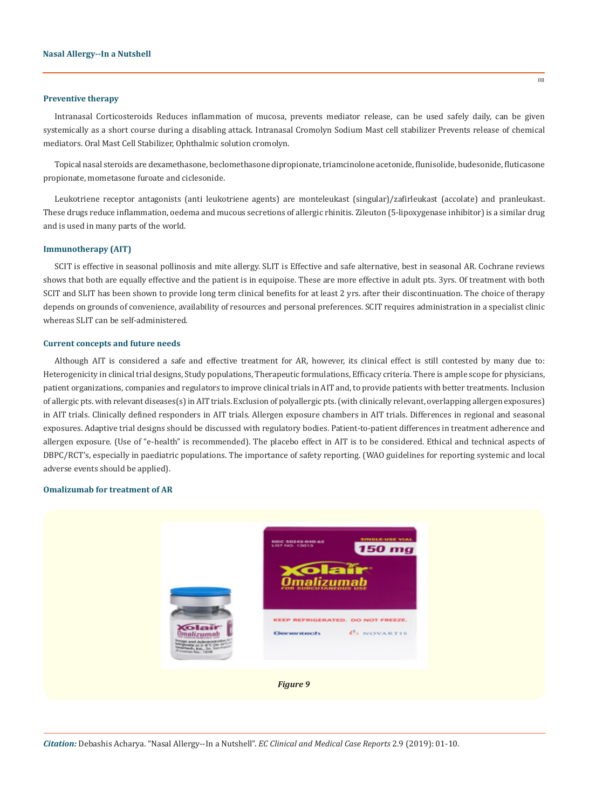#### **Preventive therapy**

Intranasal Corticosteroids Reduces inflammation of mucosa, prevents mediator release, can be used safely daily, can be given systemically as a short course during a disabling attack. Intranasal Cromolyn Sodium Mast cell stabilizer Prevents release of chemical mediators. Oral Mast Cell Stabilizer, Ophthalmic solution cromolyn.

Topical nasal steroids are dexamethasone, beclomethasone dipropionate, triamcinolone acetonide, flunisolide, budesonide, fluticasone propionate, mometasone furoate and ciclesonide.

Leukotriene receptor antagonists (anti leukotriene agents) are monteleukast (singular)/zafirleukast (accolate) and pranleukast. These drugs reduce inflammation, oedema and mucous secretions of allergic rhinitis. Zileuton (5-lipoxygenase inhibitor) is a similar drug and is used in many parts of the world.

#### **Immunotherapy (AIT)**

SCIT is effective in seasonal pollinosis and mite allergy. SLIT is Effective and safe alternative, best in seasonal AR. Cochrane reviews shows that both are equally effective and the patient is in equipoise. These are more effective in adult pts. 3yrs. Of treatment with both SCIT and SLIT has been shown to provide long term clinical benefits for at least 2 yrs. after their discontinuation. The choice of therapy depends on grounds of convenience, availability of resources and personal preferences. SCIT requires administration in a specialist clinic whereas SLIT can be self-administered.

#### **Current concepts and future needs**

Although AIT is considered a safe and effective treatment for AR, however, its clinical effect is still contested by many due to: Heterogenicity in clinical trial designs, Study populations, Therapeutic formulations, Efficacy criteria. There is ample scope for physicians, patient organizations, companies and regulators to improve clinical trials in AIT and, to provide patients with better treatments. Inclusion of allergic pts. with relevant diseases(s) in AIT trials. Exclusion of polyallergic pts. (with clinically relevant, overlapping allergen exposures) in AIT trials. Clinically defined responders in AIT trials. Allergen exposure chambers in AIT trials. Differences in regional and seasonal exposures. Adaptive trial designs should be discussed with regulatory bodies. Patient-to-patient differences in treatment adherence and allergen exposure. (Use of "e-health" is recommended). The placebo effect in AIT is to be considered. Ethical and technical aspects of DBPC/RCT's, especially in paediatric populations. The importance of safety reporting. (WAO guidelines for reporting systemic and local adverse events should be applied).

#### **Omalizumab for treatment of AR**



*Citation:* Debashis Acharya. "Nasal Allergy--In a Nutshell". *EC Clinical and Medical Case Reports* 2.9 (2019): 01-10.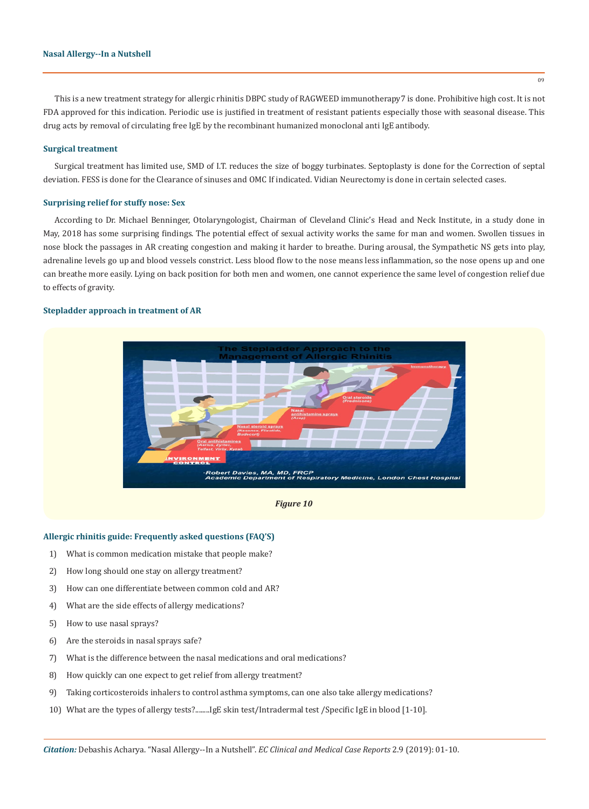#### **Nasal Allergy--In a Nutshell**

This is a new treatment strategy for allergic rhinitis DBPC study of RAGWEED immunotherapy7 is done. Prohibitive high cost. It is not FDA approved for this indication. Periodic use is justified in treatment of resistant patients especially those with seasonal disease. This drug acts by removal of circulating free IgE by the recombinant humanized monoclonal anti IgE antibody.

#### **Surgical treatment**

Surgical treatment has limited use, SMD of I.T. reduces the size of boggy turbinates. Septoplasty is done for the Correction of septal deviation. FESS is done for the Clearance of sinuses and OMC If indicated. Vidian Neurectomy is done in certain selected cases.

#### **Surprising relief for stuffy nose: Sex**

According to Dr. Michael Benninger, Otolaryngologist, Chairman of Cleveland Clinic's Head and Neck Institute, in a study done in May, 2018 has some surprising findings. The potential effect of sexual activity works the same for man and women. Swollen tissues in nose block the passages in AR creating congestion and making it harder to breathe. During arousal, the Sympathetic NS gets into play, adrenaline levels go up and blood vessels constrict. Less blood flow to the nose means less inflammation, so the nose opens up and one can breathe more easily. Lying on back position for both men and women, one cannot experience the same level of congestion relief due to effects of gravity.

#### **Stepladder approach in treatment of AR**





#### **Allergic rhinitis guide: Frequently asked questions (FAQ'S)**

- 1) What is common medication mistake that people make?
- 2) How long should one stay on allergy treatment?
- 3) How can one differentiate between common cold and AR?
- 4) What are the side effects of allergy medications?
- 5) How to use nasal sprays?
- 6) Are the steroids in nasal sprays safe?
- 7) What is the difference between the nasal medications and oral medications?
- 8) How quickly can one expect to get relief from allergy treatment?
- 9) Taking corticosteroids inhalers to control asthma symptoms, can one also take allergy medications?
- 10) What are the types of allergy tests?........IgE skin test/Intradermal test /Specific IgE in blood [1-10].